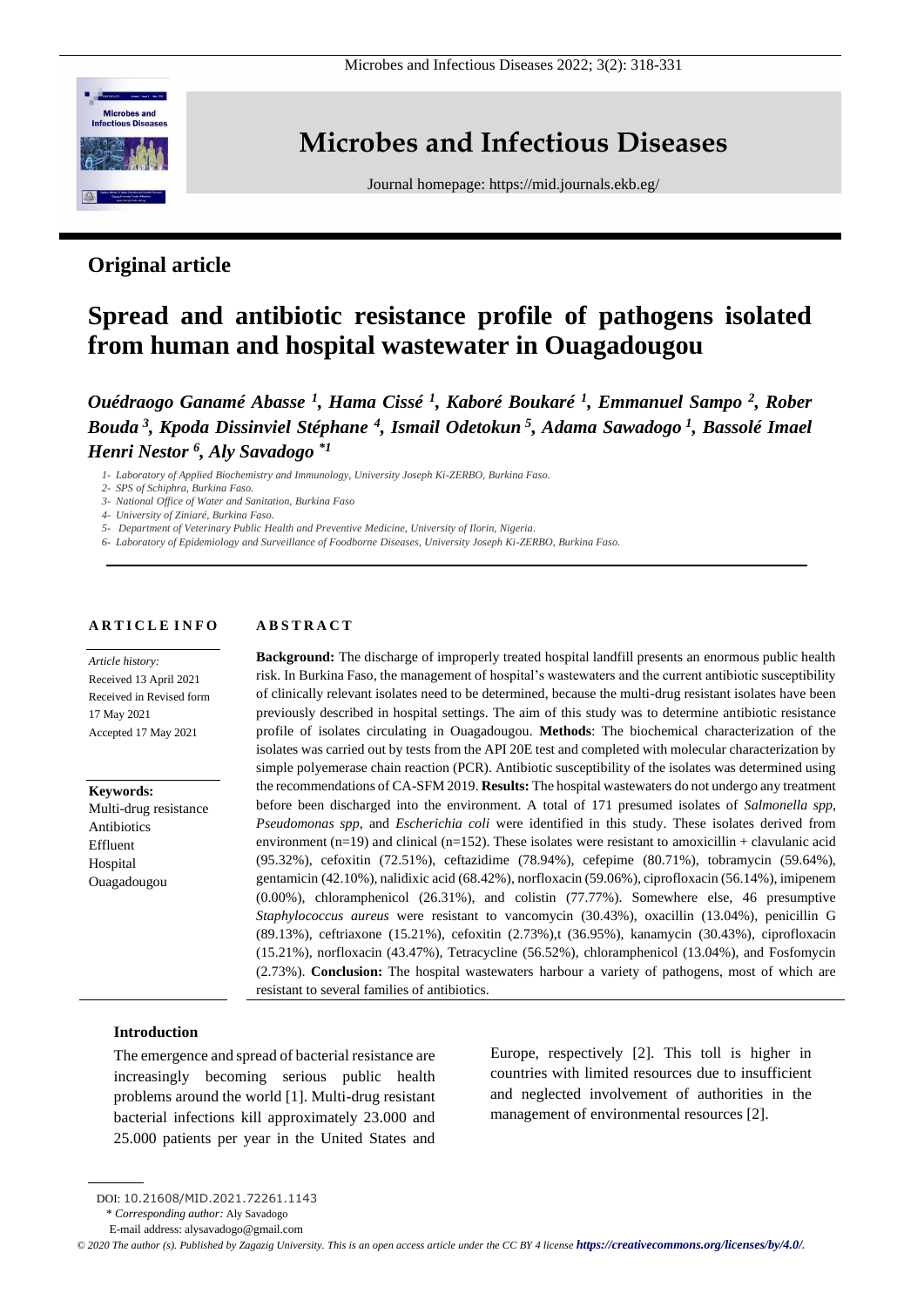

# **Microbes and Infectious Diseases**

Journal homepage:<https://mid.journals.ekb.eg/>

# **Original article**

# **Spread and antibiotic resistance profile of pathogens isolated from human and hospital wastewater in Ouagadougou**

*Ouédraogo Ganamé Abasse <sup>1</sup> , Hama Cissé <sup>1</sup> , Kaboré Boukaré <sup>1</sup> , Emmanuel Sampo <sup>2</sup> , Rober Bouda <sup>3</sup> , Kpoda Dissinviel Stéphane <sup>4</sup> , Ismail Odetokun <sup>5</sup> , Adama Sawadogo <sup>1</sup> , Bassolé Imael Henri Nestor <sup>6</sup> , Aly Savadogo \*1*

*1- Laboratory of Applied Biochemistry and Immunology, University Joseph Ki-ZERBO, Burkina Faso.*

*2- SPS of Schiphra, Burkina Faso.*

*3- National Office of Water and Sanitation, Burkina Faso*

*4- University of Ziniaré, Burkina Faso.*

*5- Department of Veterinary Public Health and Preventive Medicine, University of Ilorin, Nigeria.*

*6- Laboratory of Epidemiology and Surveillance of Foodborne Diseases, University Joseph Ki-ZERBO, Burkina Faso.*

#### **A R T I C L E I N F O A B S T R A C T**

*Article history:*  Received 13 April 2021 Received in Revised form 17 May 2021 Accepted 17 May 2021

**Keywords:** Multi-drug resistance Antibiotics Effluent Hospital Ouagadougou

**Background:** The discharge of improperly treated hospital landfill presents an enormous public health risk. In Burkina Faso, the management of hospital's wastewaters and the current antibiotic susceptibility of clinically relevant isolates need to be determined, because the multi-drug resistant isolates have been previously described in hospital settings. The aim of this study was to determine antibiotic resistance profile of isolates circulating in Ouagadougou. **Methods**: The biochemical characterization of the isolates was carried out by tests from the API 20E test and completed with molecular characterization by simple polyemerase chain reaction (PCR). Antibiotic susceptibility of the isolates was determined using the recommendations of CA-SFM 2019. **Results:** The hospital wastewaters do not undergo any treatment before been discharged into the environment. A total of 171 presumed isolates of *Salmonella spp*, *Pseudomonas spp*, and *Escherichia coli* were identified in this study. These isolates derived from environment ( $n=19$ ) and clinical ( $n=152$ ). These isolates were resistant to amoxicillin + clavulanic acid (95.32%), cefoxitin (72.51%), ceftazidime (78.94%), cefepime (80.71%), tobramycin (59.64%), gentamicin (42.10%), nalidixic acid (68.42%), norfloxacin (59.06%), ciprofloxacin (56.14%), imipenem (0.00%), chloramphenicol (26.31%), and colistin (77.77%). Somewhere else, 46 presumptive *Staphylococcus aureus* were resistant to vancomycin (30.43%), oxacillin (13.04%), penicillin G (89.13%), ceftriaxone (15.21%), cefoxitin (2.73%),t (36.95%), kanamycin (30.43%), ciprofloxacin (15.21%), norfloxacin (43.47%), Tetracycline (56.52%), chloramphenicol (13.04%), and Fosfomycin (2.73%). **Conclusion:** The hospital wastewaters harbour a variety of pathogens, most of which are resistant to several families of antibiotics.

# **Introduction**

The emergence and spread of bacterial resistance are increasingly becoming serious public health problems around the world [1]. Multi-drug resistant bacterial infections kill approximately 23.000 and 25.000 patients per year in the United States and Europe, respectively [2]. This toll is higher in countries with limited resources due to insufficient and neglected involvement of authorities in the management of environmental resources [2].

DOI: 10.21608/MID.2021.72261.1143

<sup>\*</sup> *Corresponding author:* Aly Savadogo

E-mail address: alysavadogo@gmail.com

*<sup>©</sup> 2020 The author (s). Published by Zagazig University. This is an open access article under the CC BY 4 license <https://creativecommons.org/licenses/by/4.0/>.*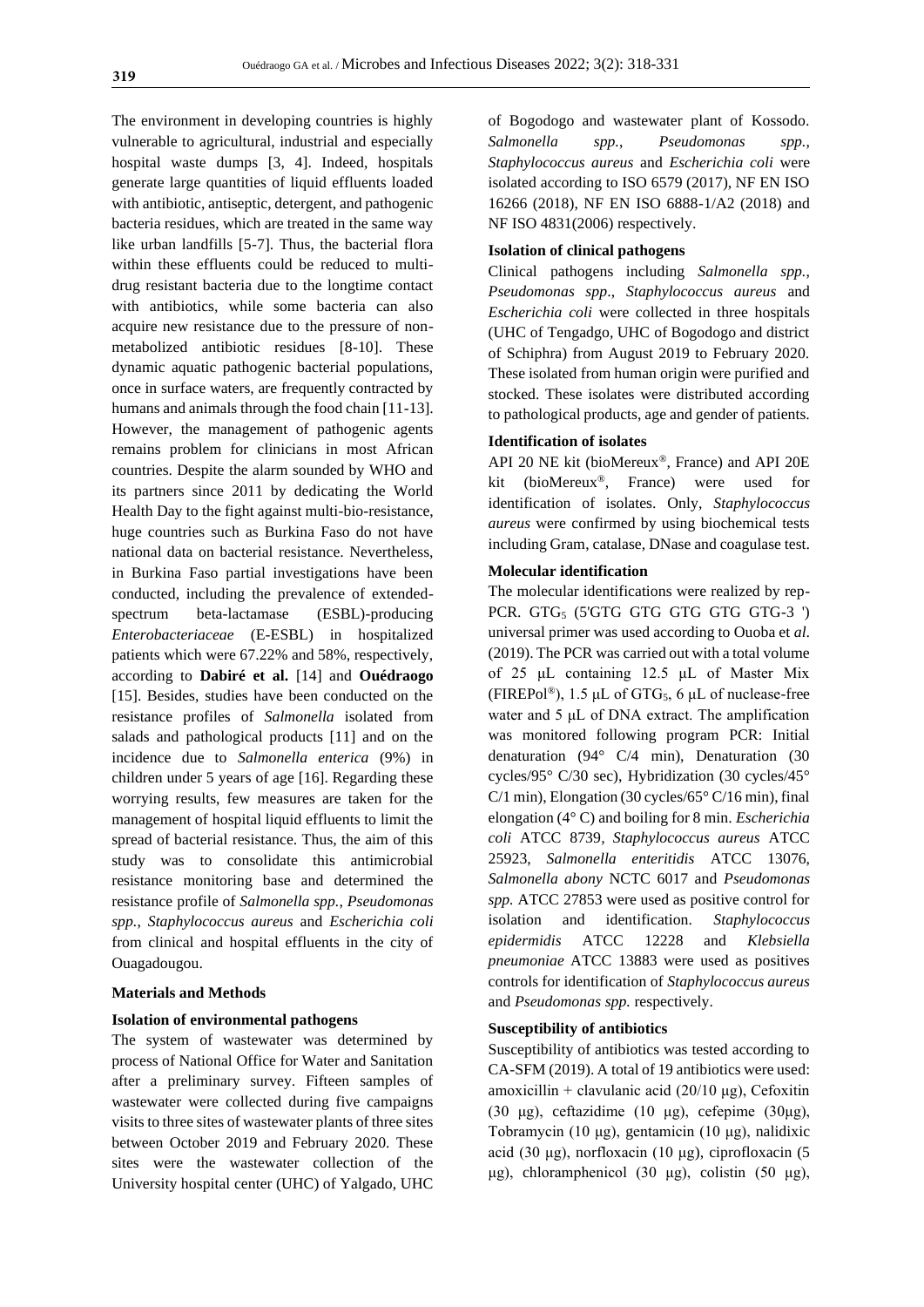The environment in developing countries is highly vulnerable to agricultural, industrial and especially hospital waste dumps [3, 4]. Indeed, hospitals generate large quantities of liquid effluents loaded with antibiotic, antiseptic, detergent, and pathogenic bacteria residues, which are treated in the same way like urban landfills [5-7]. Thus, the bacterial flora within these effluents could be reduced to multidrug resistant bacteria due to the longtime contact with antibiotics, while some bacteria can also acquire new resistance due to the pressure of nonmetabolized antibiotic residues [8-10]. These dynamic aquatic pathogenic bacterial populations, once in surface waters, are frequently contracted by humans and animals through the food chain [11-13]. However, the management of pathogenic agents remains problem for clinicians in most African countries. Despite the alarm sounded by WHO and its partners since 2011 by dedicating the World Health Day to the fight against multi-bio-resistance, huge countries such as Burkina Faso do not have national data on bacterial resistance. Nevertheless, in Burkina Faso partial investigations have been conducted, including the prevalence of extendedspectrum beta-lactamase (ESBL)-producing *Enterobacteriaceae* (E-ESBL) in hospitalized patients which were 67.22% and 58%, respectively, according to **Dabiré et al.** [14] and **Ouédraogo** [15]. Besides, studies have been conducted on the resistance profiles of *Salmonella* isolated from salads and pathological products [11] and on the incidence due to *Salmonella enterica* (9%) in children under 5 years of age [16]. Regarding these worrying results, few measures are taken for the management of hospital liquid effluents to limit the spread of bacterial resistance. Thus, the aim of this study was to consolidate this antimicrobial resistance monitoring base and determined the resistance profile of *Salmonella spp.*, *Pseudomonas spp.*, *Staphylococcus aureus* and *Escherichia coli* from clinical and hospital effluents in the city of Ouagadougou.

#### **Materials and Methods**

#### **Isolation of environmental pathogens**

The system of wastewater was determined by process of National Office for Water and Sanitation after a preliminary survey. Fifteen samples of wastewater were collected during five campaigns visits to three sites of wastewater plants of three sites between October 2019 and February 2020. These sites were the wastewater collection of the University hospital center (UHC) of Yalgado, UHC

of Bogodogo and wastewater plant of Kossodo. *Salmonella spp.*, *Pseudomonas spp.*, *Staphylococcus aureus* and *Escherichia coli* were isolated according to ISO 6579 (2017), NF EN ISO 16266 (2018), NF EN ISO 6888-1/A2 (2018) and NF ISO 4831(2006) respectively.

#### **Isolation of clinical pathogens**

Clinical pathogens including *Salmonella spp.*, *Pseudomonas spp*., *Staphylococcus aureus* and *Escherichia coli* were collected in three hospitals (UHC of Tengadgo, UHC of Bogodogo and district of Schiphra) from August 2019 to February 2020. These isolated from human origin were purified and stocked. These isolates were distributed according to pathological products, age and gender of patients.

# **Identification of isolates**

API 20 NE kit (bioMereux®, France) and API 20E kit (bioMereux®, France) were used for identification of isolates. Only, *Staphylococcus aureus* were confirmed by using biochemical tests including Gram, catalase, DNase and coagulase test.

# **Molecular identification**

The molecular identifications were realized by rep-PCR. GTG<sub>5</sub> (5'GTG GTG GTG GTG GTG-3 ') universal primer was used according to Ouoba et *al*. (2019). The PCR was carried out with a total volume of 25 μL containing 12.5 μL of Master Mix (FIREPol®), 1.5 μL of GTG<sub>5</sub>, 6 μL of nuclease-free water and 5 μL of DNA extract. The amplification was monitored following program PCR: Initial denaturation (94° C/4 min), Denaturation (30 cycles/95° C/30 sec), Hybridization (30 cycles/45°  $C/1$  min), Elongation (30 cycles/65 $\degree$  C/16 min), final elongation (4° C) and boiling for 8 min. *Escherichia coli* ATCC 8739*, Staphylococcus aureus* ATCC 25923, *Salmonella enteritidis* ATCC 13076, *Salmonella abony* NCTC 6017 and *Pseudomonas spp.* ATCC 27853 were used as positive control for isolation and identification. *Staphylococcus epidermidis* ATCC 12228 and *Klebsiella pneumoniae* ATCC 13883 were used as positives controls for identification of *Staphylococcus aureus* and *Pseudomonas spp.* respectively.

### **Susceptibility of antibiotics**

Susceptibility of antibiotics was tested according to CA-SFM (2019). A total of 19 antibiotics were used: amoxicillin + clavulanic acid (20/10 μg), Cefoxitin (30 μg), ceftazidime (10 μg), cefepime (30μg), Tobramycin (10 μg), gentamicin (10 μg), nalidixic acid (30 μg), norfloxacin (10 μg), ciprofloxacin (5 μg), chloramphenicol (30 μg), colistin (50 μg),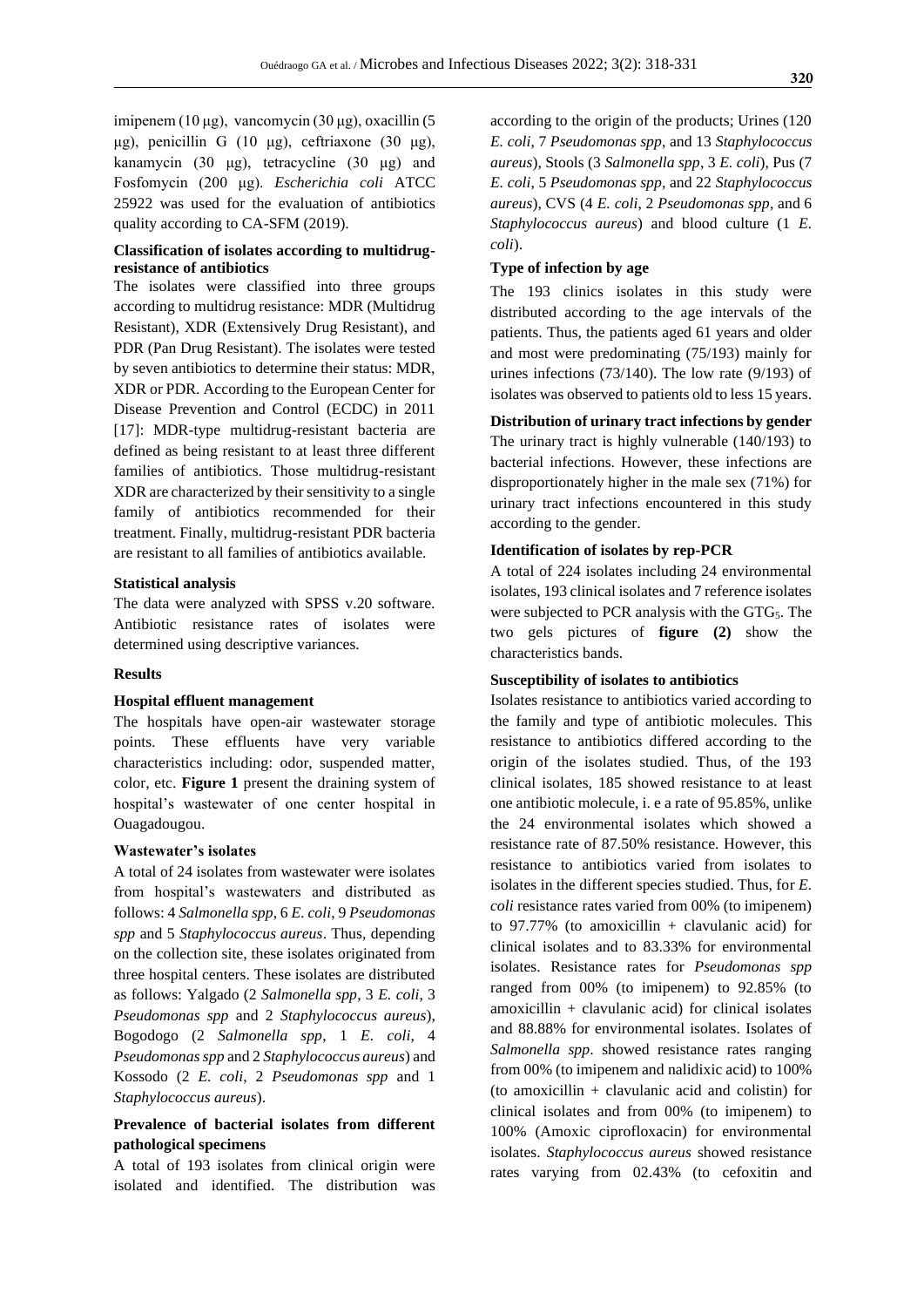imipenem (10 μg), vancomycin (30 μg), oxacillin (5 μg), penicillin G (10 μg), ceftriaxone (30 μg), kanamycin (30 μg), tetracycline (30 μg) and Fosfomycin (200 μg). *Escherichia coli* ATCC 25922 was used for the evaluation of antibiotics quality according to CA-SFM (2019).

# **Classification of isolates according to multidrugresistance of antibiotics**

The isolates were classified into three groups according to multidrug resistance: MDR (Multidrug Resistant), XDR (Extensively Drug Resistant), and PDR (Pan Drug Resistant). The isolates were tested by seven antibiotics to determine their status: MDR, XDR or PDR. According to the European Center for Disease Prevention and Control (ECDC) in 2011 [17]: MDR-type multidrug-resistant bacteria are defined as being resistant to at least three different families of antibiotics. Those multidrug-resistant XDR are characterized by their sensitivity to a single family of antibiotics recommended for their treatment. Finally, multidrug-resistant PDR bacteria are resistant to all families of antibiotics available.

#### **Statistical analysis**

The data were analyzed with SPSS v.20 software. Antibiotic resistance rates of isolates were determined using descriptive variances.

#### **Results**

#### **Hospital effluent management**

The hospitals have open-air wastewater storage points. These effluents have very variable characteristics including: odor, suspended matter, color, etc. **Figure 1** present the draining system of hospital's wastewater of one center hospital in Ouagadougou.

#### **Wastewater's isolates**

A total of 24 isolates from wastewater were isolates from hospital's wastewaters and distributed as follows: 4 *Salmonella spp*, 6 *E. coli*, 9 *Pseudomonas spp* and 5 *Staphylococcus aureus*. Thus, depending on the collection site, these isolates originated from three hospital centers. These isolates are distributed as follows: Yalgado (2 *Salmonella spp*, 3 *E. coli*, 3 *Pseudomonas spp* and 2 *Staphylococcus aureus*), Bogodogo (2 *Salmonella spp*, 1 *E. coli*, 4 *Pseudomonas spp* and 2 *Staphylococcus aureus*) and Kossodo (2 *E. coli*, 2 *Pseudomonas spp* and 1 *Staphylococcus aureus*).

# **Prevalence of bacterial isolates from different pathological specimens**

A total of 193 isolates from clinical origin were isolated and identified. The distribution was according to the origin of the products; Urines (120 *E. coli*, 7 *Pseudomonas spp*, and 13 *Staphylococcus aureus*), Stools (3 *Salmonella spp*, 3 *E. coli*), Pus (7 *E. coli*, 5 *Pseudomonas spp*, and 22 *Staphylococcus aureus*), CVS (4 *E. coli*, 2 *Pseudomonas spp*, and 6 *Staphylococcus aureus*) and blood culture (1 *E. coli*).

# **Type of infection by age**

The 193 clinics isolates in this study were distributed according to the age intervals of the patients. Thus, the patients aged 61 years and older and most were predominating (75/193) mainly for urines infections (73/140). The low rate (9/193) of isolates was observed to patients old to less 15 years.

# **Distribution of urinary tract infections by gender**

The urinary tract is highly vulnerable (140/193) to bacterial infections. However, these infections are disproportionately higher in the male sex (71%) for urinary tract infections encountered in this study according to the gender.

# **Identification of isolates by rep-PCR**

A total of 224 isolates including 24 environmental isolates, 193 clinical isolates and 7 reference isolates were subjected to PCR analysis with the GTG<sub>5</sub>. The two gels pictures of **figure (2)** show the characteristics bands.

# **Susceptibility of isolates to antibiotics**

Isolates resistance to antibiotics varied according to the family and type of antibiotic molecules. This resistance to antibiotics differed according to the origin of the isolates studied. Thus, of the 193 clinical isolates, 185 showed resistance to at least one antibiotic molecule, i. e a rate of 95.85%, unlike the 24 environmental isolates which showed a resistance rate of 87.50% resistance. However, this resistance to antibiotics varied from isolates to isolates in the different species studied. Thus, for *E. coli* resistance rates varied from 00% (to imipenem) to 97.77% (to amoxicillin + clavulanic acid) for clinical isolates and to 83.33% for environmental isolates. Resistance rates for *Pseudomonas spp* ranged from 00% (to imipenem) to 92.85% (to amoxicillin + clavulanic acid) for clinical isolates and 88.88% for environmental isolates. Isolates of *Salmonella spp*. showed resistance rates ranging from 00% (to imipenem and nalidixic acid) to 100% (to amoxicillin + clavulanic acid and colistin) for clinical isolates and from 00% (to imipenem) to 100% (Amoxic ciprofloxacin) for environmental isolates. *Staphylococcus aureus* showed resistance rates varying from 02.43% (to cefoxitin and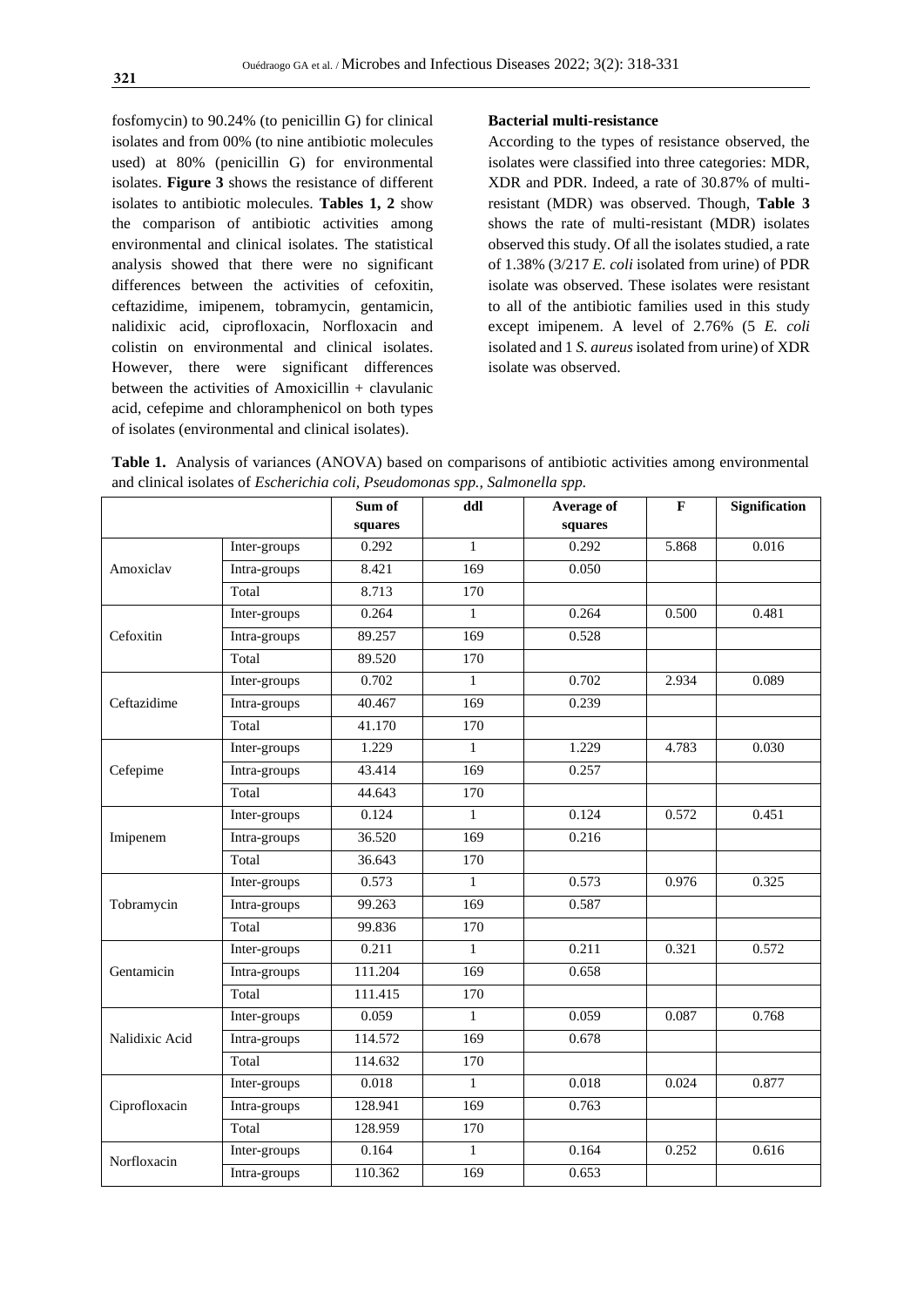fosfomycin) to 90.24% (to penicillin G) for clinical isolates and from 00% (to nine antibiotic molecules used) at 80% (penicillin G) for environmental isolates. **Figure 3** shows the resistance of different isolates to antibiotic molecules. **Tables 1, 2** show the comparison of antibiotic activities among environmental and clinical isolates. The statistical analysis showed that there were no significant differences between the activities of cefoxitin, ceftazidime, imipenem, tobramycin, gentamicin, nalidixic acid, ciprofloxacin, Norfloxacin and colistin on environmental and clinical isolates. However, there were significant differences between the activities of Amoxicillin + clavulanic acid, cefepime and chloramphenicol on both types of isolates (environmental and clinical isolates).

# **Bacterial multi-resistance**

According to the types of resistance observed, the isolates were classified into three categories: MDR, XDR and PDR. Indeed, a rate of 30.87% of multiresistant (MDR) was observed. Though, **Table 3** shows the rate of multi-resistant (MDR) isolates observed this study. Of all the isolates studied, a rate of 1.38% (3/217 *E. coli* isolated from urine) of PDR isolate was observed. These isolates were resistant to all of the antibiotic families used in this study except imipenem. A level of 2.76% (5 *E. coli* isolated and 1 *S. aureus* isolated from urine) of XDR isolate was observed.

**Table 1.** Analysis of variances (ANOVA) based on comparisons of antibiotic activities among environmental and clinical isolates of *Escherichia coli, Pseudomonas spp., Salmonella spp.*

|                |              | Sum of  | ddl              | Average of | $\mathbf{F}$ | Signification |
|----------------|--------------|---------|------------------|------------|--------------|---------------|
|                |              | squares |                  | squares    |              |               |
|                | Inter-groups | 0.292   | $\mathbf{1}$     | 0.292      | 5.868        | 0.016         |
| Amoxiclav      | Intra-groups | 8.421   | 169              | 0.050      |              |               |
|                | Total        | 8.713   | 170              |            |              |               |
|                | Inter-groups | 0.264   | $\mathbf{1}$     | 0.264      | 0.500        | 0.481         |
| Cefoxitin      | Intra-groups | 89.257  | 169              | 0.528      |              |               |
|                | Total        | 89.520  | 170              |            |              |               |
|                | Inter-groups | 0.702   | $\mathbf{1}$     | 0.702      | 2.934        | 0.089         |
| Ceftazidime    | Intra-groups | 40.467  | 169              | 0.239      |              |               |
|                | Total        | 41.170  | $\overline{170}$ |            |              |               |
|                | Inter-groups | 1.229   | $\mathbf{1}$     | 1.229      | 4.783        | 0.030         |
| Cefepime       | Intra-groups | 43.414  | $\overline{169}$ | 0.257      |              |               |
|                | Total        | 44.643  | 170              |            |              |               |
|                | Inter-groups | 0.124   | $\mathbf{1}$     | 0.124      | 0.572        | 0.451         |
| Imipenem       | Intra-groups | 36.520  | 169              | 0.216      |              |               |
|                | Total        | 36.643  | 170              |            |              |               |
|                | Inter-groups | 0.573   | $\mathbf{1}$     | 0.573      | 0.976        | 0.325         |
| Tobramycin     | Intra-groups | 99.263  | 169              | 0.587      |              |               |
|                | Total        | 99.836  | 170              |            |              |               |
|                | Inter-groups | 0.211   | $\mathbf{1}$     | 0.211      | 0.321        | 0.572         |
| Gentamicin     | Intra-groups | 111.204 | 169              | 0.658      |              |               |
|                | Total        | 111.415 | 170              |            |              |               |
| Nalidixic Acid | Inter-groups | 0.059   | $\mathbf{1}$     | 0.059      | 0.087        | 0.768         |
|                | Intra-groups | 114.572 | 169              | 0.678      |              |               |
|                | Total        | 114.632 | 170              |            |              |               |
| Ciprofloxacin  | Inter-groups | 0.018   | $\mathbf{1}$     | 0.018      | 0.024        | 0.877         |
|                | Intra-groups | 128.941 | 169              | 0.763      |              |               |
|                | Total        | 128.959 | 170              |            |              |               |
| Norfloxacin    | Inter-groups | 0.164   | $\mathbf{1}$     | 0.164      | 0.252        | 0.616         |
|                | Intra-groups | 110.362 | 169              | 0.653      |              |               |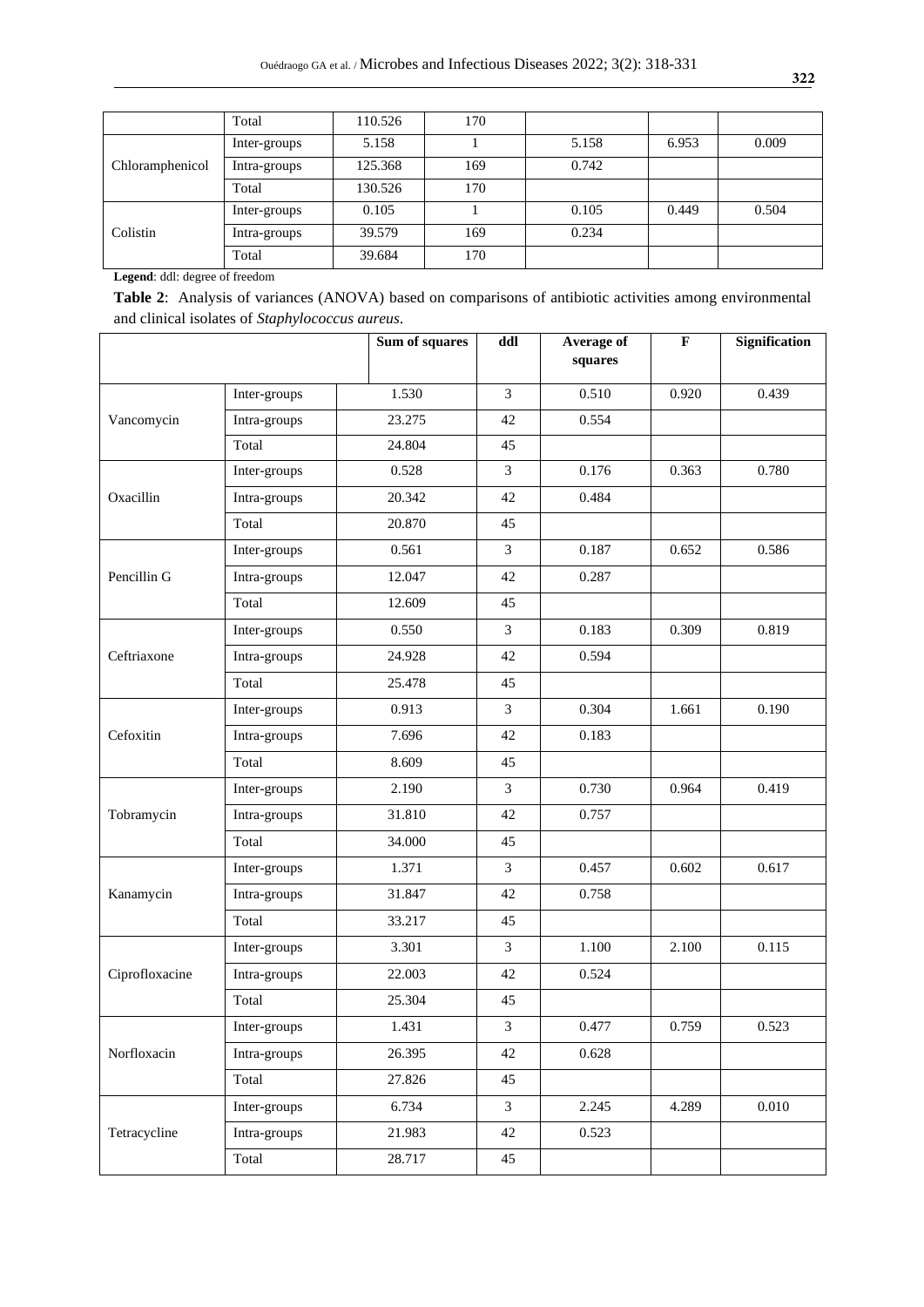|                 | Total        | 110.526 | 170 |       |       |       |
|-----------------|--------------|---------|-----|-------|-------|-------|
| Chloramphenicol | Inter-groups | 5.158   |     | 5.158 | 6.953 | 0.009 |
|                 | Intra-groups | 125.368 | 169 | 0.742 |       |       |
|                 | Total        | 130.526 | 170 |       |       |       |
| Colistin        | Inter-groups | 0.105   |     | 0.105 | 0.449 | 0.504 |
|                 | Intra-groups | 39.579  | 169 | 0.234 |       |       |
|                 | Total        | 39.684  | 170 |       |       |       |

**Legend**: ddl: degree of freedom

**Table 2**: Analysis of variances (ANOVA) based on comparisons of antibiotic activities among environmental and clinical isolates of *Staphylococcus aureus.*

|                |              | Sum of squares | ddl            | Average of<br>squares | $\mathbf F$ | <b>Signification</b> |
|----------------|--------------|----------------|----------------|-----------------------|-------------|----------------------|
|                | Inter-groups | 1.530          | 3              | 0.510                 | 0.920       | 0.439                |
| Vancomycin     | Intra-groups | 23.275         | 42             | 0.554                 |             |                      |
|                | Total        | 24.804         | 45             |                       |             |                      |
|                | Inter-groups | 0.528          | $\overline{3}$ | 0.176                 | 0.363       | 0.780                |
| Oxacillin      | Intra-groups | 20.342         | 42             | 0.484                 |             |                      |
|                | Total        | 20.870         | 45             |                       |             |                      |
|                | Inter-groups | 0.561          | $\overline{3}$ | 0.187                 | 0.652       | 0.586                |
| Pencillin G    | Intra-groups | 12.047         | 42             | 0.287                 |             |                      |
|                | Total        | 12.609         | 45             |                       |             |                      |
|                | Inter-groups | 0.550          | $\mathfrak{Z}$ | 0.183                 | 0.309       | 0.819                |
| Ceftriaxone    | Intra-groups | 24.928         | 42             | 0.594                 |             |                      |
|                | Total        | 25.478         | 45             |                       |             |                      |
|                | Inter-groups | 0.913          | 3              | 0.304                 | 1.661       | 0.190                |
| Cefoxitin      | Intra-groups | 7.696          | 42             | 0.183                 |             |                      |
|                | Total        | 8.609          | 45             |                       |             |                      |
| Tobramycin     | Inter-groups | 2.190          | $\mathfrak{Z}$ | 0.730                 | 0.964       | 0.419                |
|                | Intra-groups | 31.810         | 42             | 0.757                 |             |                      |
|                | Total        | 34.000         | 45             |                       |             |                      |
|                | Inter-groups | 1.371          | 3              | 0.457                 | 0.602       | 0.617                |
| Kanamycin      | Intra-groups | 31.847         | 42             | 0.758                 |             |                      |
|                | Total        | 33.217         | 45             |                       |             |                      |
|                | Inter-groups | 3.301          | $\overline{3}$ | 1.100                 | 2.100       | 0.115                |
| Ciprofloxacine | Intra-groups | 22.003         | 42             | 0.524                 |             |                      |
|                | Total        | 25.304         | 45             |                       |             |                      |
| Norfloxacin    | Inter-groups | 1.431          | $\mathfrak{Z}$ | 0.477                 | 0.759       | 0.523                |
|                | Intra-groups | 26.395         | 42             | 0.628                 |             |                      |
|                | Total        | 27.826         | 45             |                       |             |                      |
|                | Inter-groups | 6.734          | $\mathfrak{Z}$ | 2.245                 | 4.289       | 0.010                |
| Tetracycline   | Intra-groups | 21.983         | 42             | 0.523                 |             |                      |
|                | Total        | 28.717         | 45             |                       |             |                      |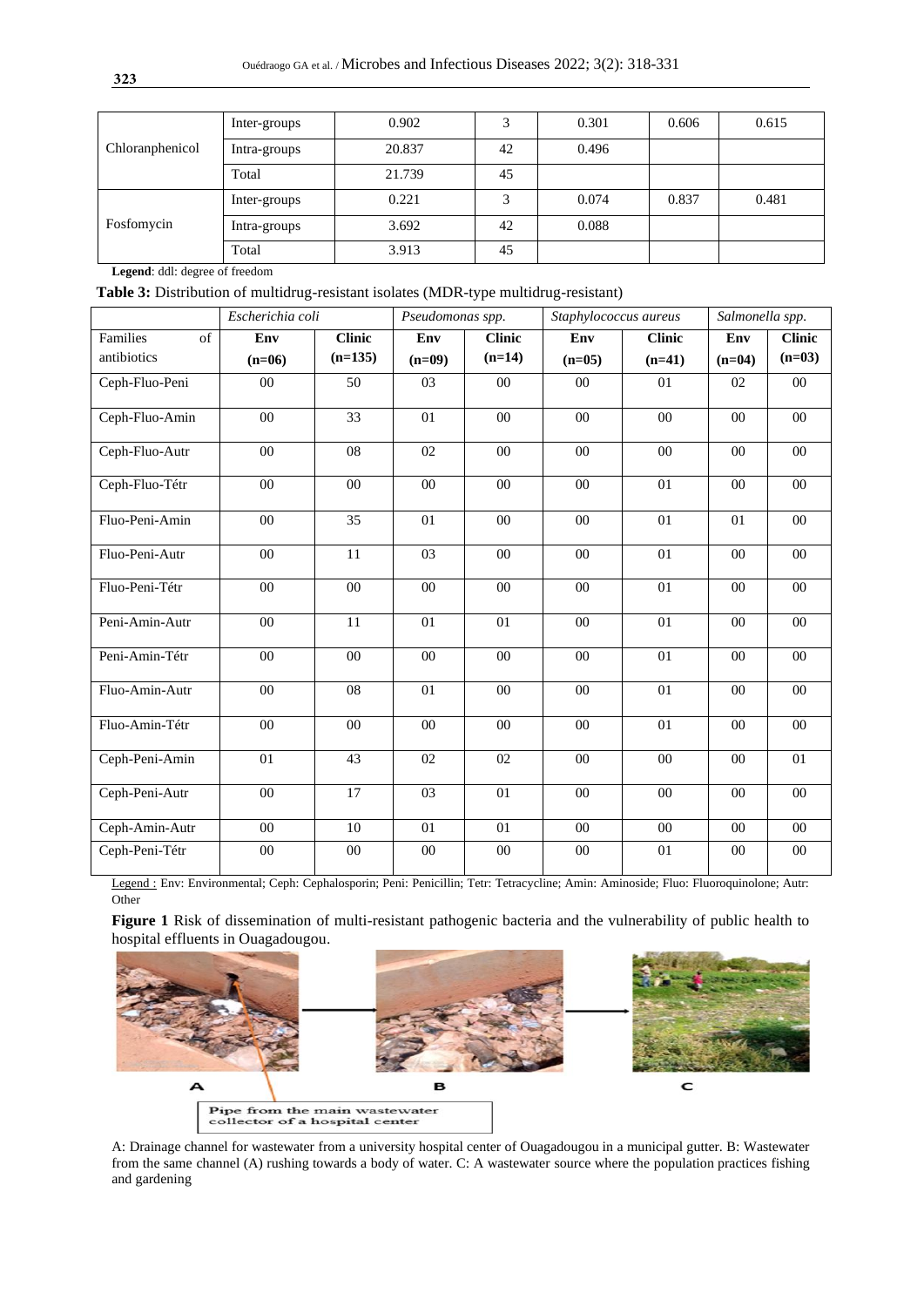| Chloranphenicol | Inter-groups | 0.902  |    | 0.301 | 0.606 | 0.615 |
|-----------------|--------------|--------|----|-------|-------|-------|
|                 | Intra-groups | 20.837 | 42 | 0.496 |       |       |
|                 | Total        | 21.739 | 45 |       |       |       |
| Fosfomycin      | Inter-groups | 0.221  | 3  | 0.074 | 0.837 | 0.481 |
|                 | Intra-groups | 3.692  | 42 | 0.088 |       |       |
|                 | Total        | 3.913  | 45 |       |       |       |

**Legend**: ddl: degree of freedom

 **Table 3:** Distribution of multidrug-resistant isolates (MDR-type multidrug-resistant)

|                | Escherichia coli |                 | Pseudomonas spp. |                 | Staphylococcus aureus |                 | Salmonella spp. |               |
|----------------|------------------|-----------------|------------------|-----------------|-----------------------|-----------------|-----------------|---------------|
| Families<br>of | Env              | <b>Clinic</b>   | Env              | <b>Clinic</b>   | Env                   | <b>Clinic</b>   | Env             | <b>Clinic</b> |
| antibiotics    | $(n=06)$         | $(n=135)$       | $(n=09)$         | $(n=14)$        | $(n=05)$              | $(n=41)$        | $(n=04)$        | $(n=03)$      |
| Ceph-Fluo-Peni | $00\,$           | 50              | 03               | $00\,$          | $00\,$                | 01              | 02              | $00\,$        |
| Ceph-Fluo-Amin | 00               | $\overline{33}$ | 01               | 00              | 00                    | $00\,$          | 00              | 00            |
| Ceph-Fluo-Autr | $00\,$           | 08              | 02               | $00\,$          | 00                    | $00\,$          | 00              | $00\,$        |
| Ceph-Fluo-Tétr | $00\,$           | 00              | 00               | $00\,$          | 00                    | 01              | 00              | $00\,$        |
| Fluo-Peni-Amin | $00\,$           | 35              | 01               | $00\,$          | 0 <sub>0</sub>        | 01              | 01              | 00            |
| Fluo-Peni-Autr | 00               | 11              | 03               | 00              | 00                    | 01              | 00              | $00\,$        |
| Fluo-Peni-Tétr | $\overline{00}$  | $00\,$          | 00               | $\overline{00}$ | 00                    | $\overline{01}$ | 00              | 00            |
| Peni-Amin-Autr | $00\,$           | 11              | 01               | 01              | $00\,$                | 01              | $00\,$          | $00\,$        |
| Peni-Amin-Tétr | 00               | 00              | 00               | 00              | 00                    | 01              | 00              | 00            |
| Fluo-Amin-Autr | $00\,$           | 08              | 01               | 00              | 00                    | 01              | $00\,$          | $00\,$        |
| Fluo-Amin-Tétr | $00\,$           | $00\,$          | $00\,$           | $00\,$          | $00\,$                | 01              | $00\,$          | $00\,$        |
| Ceph-Peni-Amin | 01               | 43              | 02               | 02              | 00                    | $00\,$          | $00\,$          | 01            |
| Ceph-Peni-Autr | 00               | $\overline{17}$ | 03               | $\overline{01}$ | 00                    | $00\,$          | 00              | $00\,$        |
| Ceph-Amin-Autr | 00               | 10              | 01               | 01              | 00                    | $00\,$          | $00\,$          | $00\,$        |
| Ceph-Peni-Tétr | $00\,$           | $00\,$          | $00\,$           | $00\,$          | 00                    | 01              | $00\,$          | $00\,$        |

Legend : Env: Environmental; Ceph: Cephalosporin; Peni: Penicillin; Tetr: Tetracycline; Amin: Aminoside; Fluo: Fluoroquinolone; Autr: Other

**Figure 1** Risk of dissemination of multi-resistant pathogenic bacteria and the vulnerability of public health to hospital effluents in Ouagadougou.



A: Drainage channel for wastewater from a university hospital center of Ouagadougou in a municipal gutter. B: Wastewater from the same channel (A) rushing towards a body of water. C: A wastewater source where the population practices fishing and gardening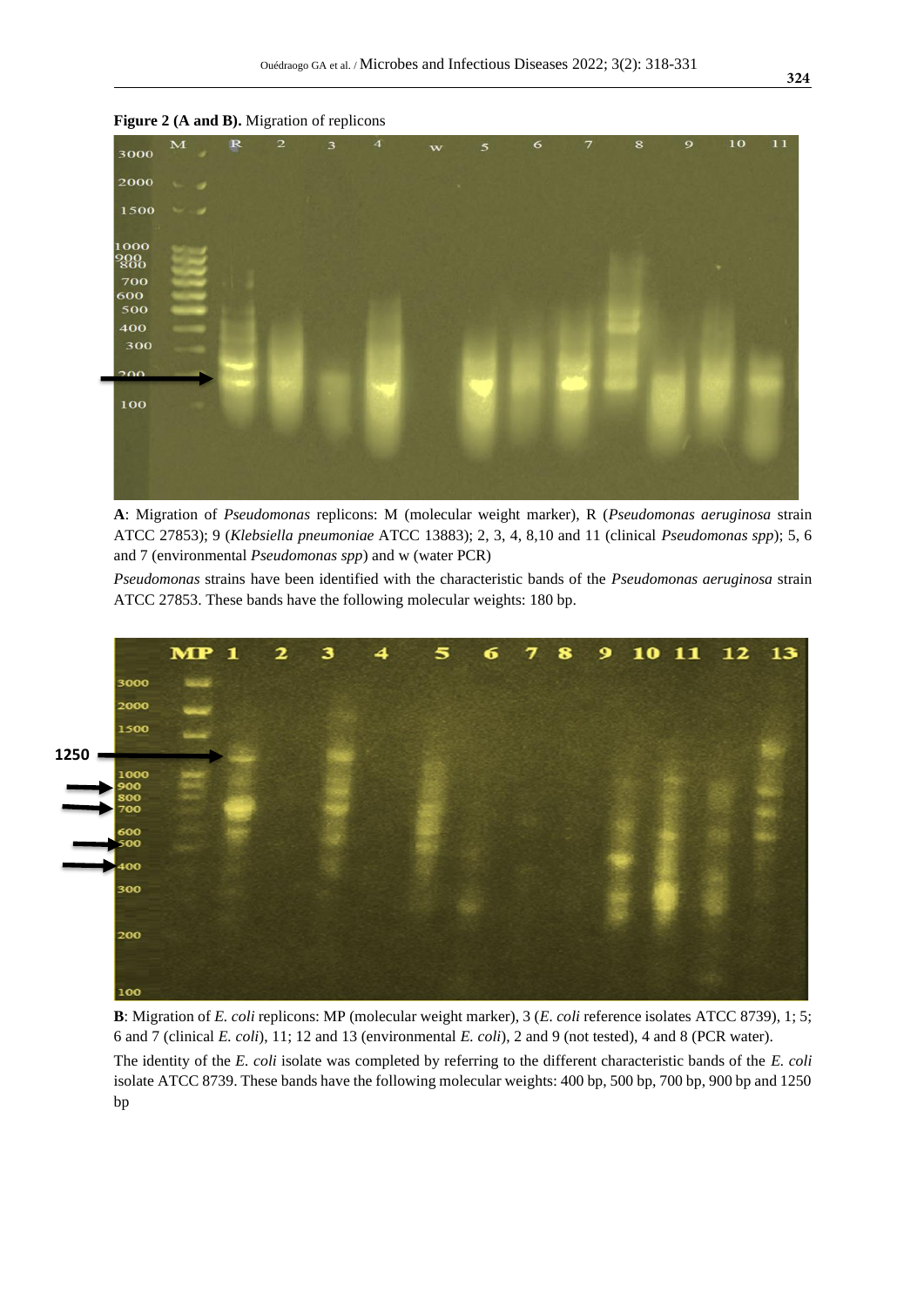

**Figure 2 (A and B).** Migration of replicons

**A**: Migration of *Pseudomonas* replicons: M (molecular weight marker), R (*Pseudomonas aeruginosa* strain ATCC 27853); 9 (*Klebsiella pneumoniae* ATCC 13883); 2, 3, 4, 8,10 and 11 (clinical *Pseudomonas spp*); 5, 6 and 7 (environmental *Pseudomonas spp*) and w (water PCR)

*Pseudomonas* strains have been identified with the characteristic bands of the *Pseudomonas aeruginosa* strain ATCC 27853. These bands have the following molecular weights: 180 bp.



**B**: Migration of *E. coli* replicons: MP (molecular weight marker), 3 (*E. coli* reference isolates ATCC 8739), 1; 5; 6 and 7 (clinical *E. coli*), 11; 12 and 13 (environmental *E. coli*), 2 and 9 (not tested), 4 and 8 (PCR water).

The identity of the *E. coli* isolate was completed by referring to the different characteristic bands of the *E. coli* isolate ATCC 8739. These bands have the following molecular weights: 400 bp, 500 bp, 700 bp, 900 bp and 1250 bp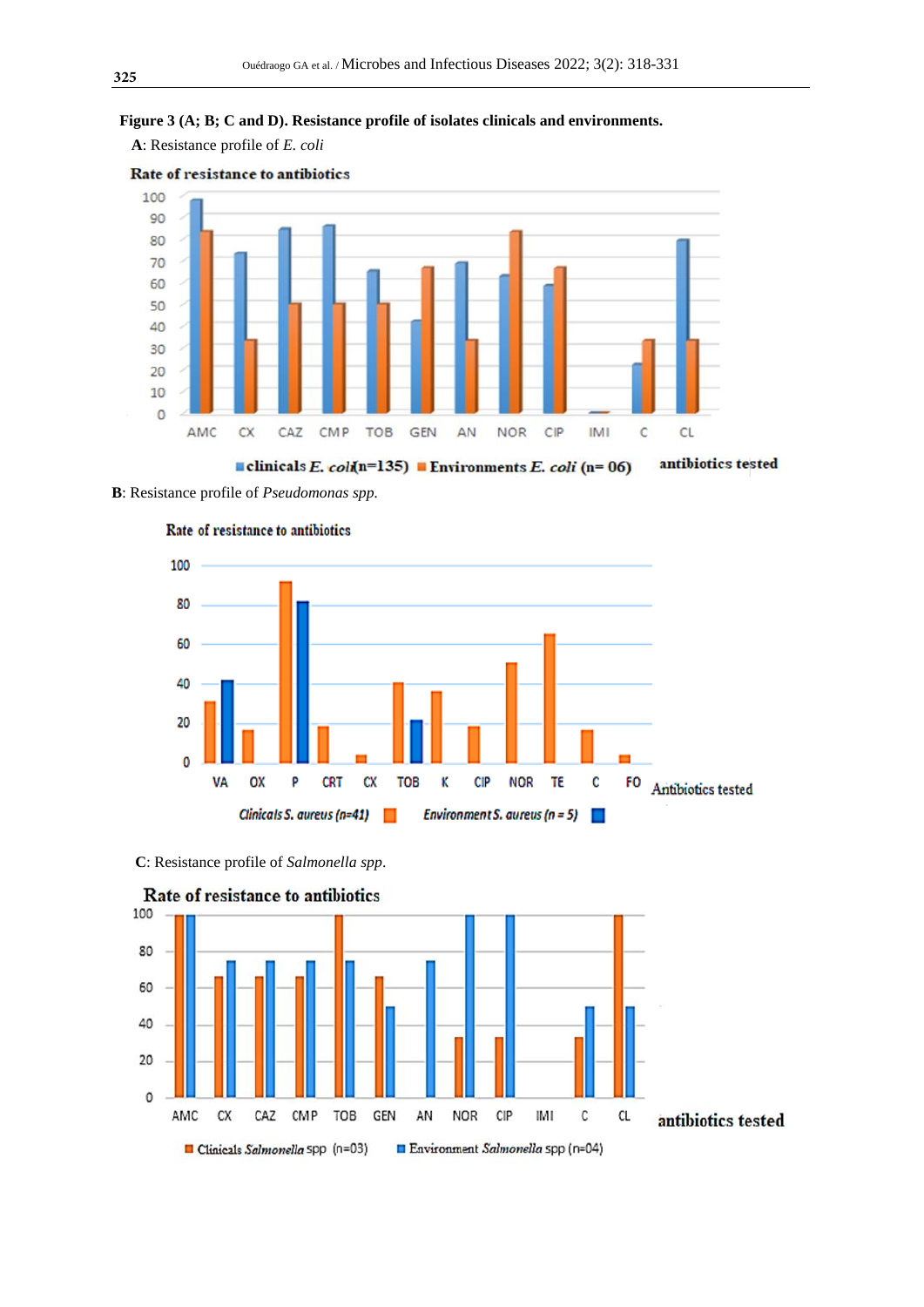# **Figure 3 (A; B; C and D). Resistance profile of isolates clinicals and environments.**

 **A**: Resistance profile of *E. coli*



Rate of resistance to antibiotics

clinicals E. coli(n=135) Environments E. coli (n=06) antibiotics tested

**B**: Resistance profile of *Pseudomonas spp.*





 **C**: Resistance profile of *Salmonella spp*.



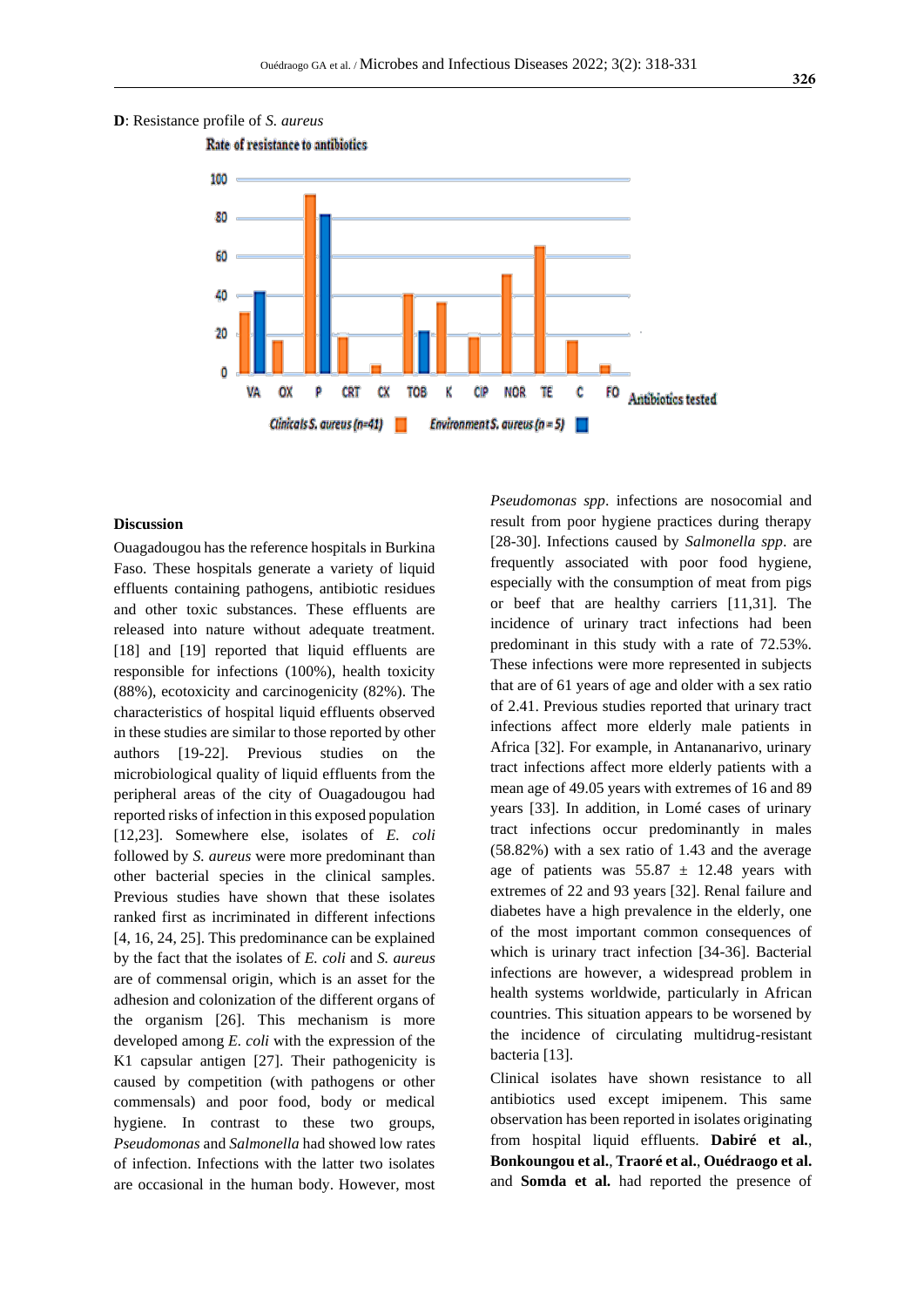



#### **Discussion**

Ouagadougou has the reference hospitals in Burkina Faso. These hospitals generate a variety of liquid effluents containing pathogens, antibiotic residues and other toxic substances. These effluents are released into nature without adequate treatment. [18] and [19] reported that liquid effluents are responsible for infections (100%), health toxicity (88%), ecotoxicity and carcinogenicity (82%). The characteristics of hospital liquid effluents observed in these studies are similar to those reported by other authors [19-22]. Previous studies on the microbiological quality of liquid effluents from the peripheral areas of the city of Ouagadougou had reported risks of infection in this exposed population [12,23]. Somewhere else, isolates of *E. coli* followed by *S. aureus* were more predominant than other bacterial species in the clinical samples. Previous studies have shown that these isolates ranked first as incriminated in different infections [4, 16, 24, 25]. This predominance can be explained by the fact that the isolates of *E. coli* and *S. aureus* are of commensal origin, which is an asset for the adhesion and colonization of the different organs of the organism [26]. This mechanism is more developed among *E. coli* with the expression of the K1 capsular antigen [27]. Their pathogenicity is caused by competition (with pathogens or other commensals) and poor food, body or medical hygiene. In contrast to these two groups, *Pseudomonas* and *Salmonella* had showed low rates of infection. Infections with the latter two isolates are occasional in the human body. However, most

*Pseudomonas spp*. infections are nosocomial and result from poor hygiene practices during therapy [28-30]. Infections caused by *Salmonella spp*. are frequently associated with poor food hygiene, especially with the consumption of meat from pigs or beef that are healthy carriers [11,31]. The incidence of urinary tract infections had been predominant in this study with a rate of 72.53%. These infections were more represented in subjects that are of 61 years of age and older with a sex ratio of 2.41. Previous studies reported that urinary tract infections affect more elderly male patients in Africa [32]. For example, in Antananarivo, urinary tract infections affect more elderly patients with a mean age of 49.05 years with extremes of 16 and 89 years [33]. In addition, in Lomé cases of urinary tract infections occur predominantly in males (58.82%) with a sex ratio of 1.43 and the average age of patients was  $55.87 \pm 12.48$  years with extremes of 22 and 93 years [32]. Renal failure and diabetes have a high prevalence in the elderly, one of the most important common consequences of which is urinary tract infection [34-36]. Bacterial infections are however, a widespread problem in health systems worldwide, particularly in African countries. This situation appears to be worsened by the incidence of circulating multidrug-resistant bacteria [13].

Clinical isolates have shown resistance to all antibiotics used except imipenem. This same observation has been reported in isolates originating from hospital liquid effluents. **Dabiré et al.**, **Bonkoungou et al.**, **Traoré et al.**, **Ouédraogo et al.** and **Somda et al.** had reported the presence of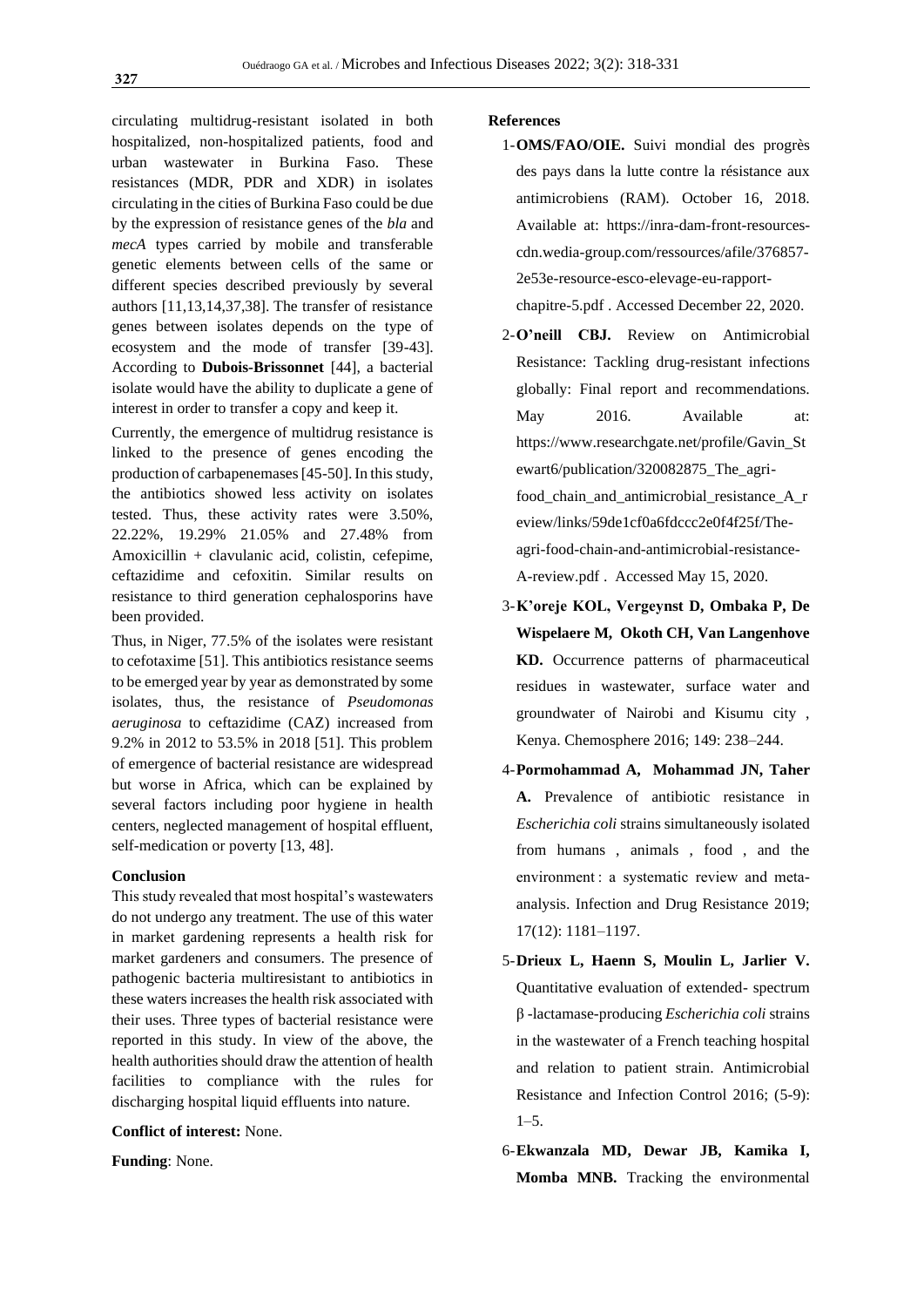circulating multidrug-resistant isolated in both hospitalized, non-hospitalized patients, food and urban wastewater in Burkina Faso. These resistances (MDR, PDR and XDR) in isolates circulating in the cities of Burkina Faso could be due by the expression of resistance genes of the *bla* and *mecA* types carried by mobile and transferable genetic elements between cells of the same or different species described previously by several authors [11,13,14,37,38]. The transfer of resistance genes between isolates depends on the type of ecosystem and the mode of transfer [39-43]. According to **Dubois-Brissonnet** [44], a bacterial isolate would have the ability to duplicate a gene of interest in order to transfer a copy and keep it.

Currently, the emergence of multidrug resistance is linked to the presence of genes encoding the production of carbapenemases [45-50]. In this study, the antibiotics showed less activity on isolates tested. Thus, these activity rates were 3.50%, 22.22%, 19.29% 21.05% and 27.48% from Amoxicillin + clavulanic acid, colistin, cefepime, ceftazidime and cefoxitin. Similar results on resistance to third generation cephalosporins have been provided.

Thus, in Niger, 77.5% of the isolates were resistant to cefotaxime [51]. This antibiotics resistance seems to be emerged year by year as demonstrated by some isolates, thus, the resistance of *Pseudomonas aeruginosa* to ceftazidime (CAZ) increased from 9.2% in 2012 to 53.5% in 2018 [51]. This problem of emergence of bacterial resistance are widespread but worse in Africa, which can be explained by several factors including poor hygiene in health centers, neglected management of hospital effluent, self-medication or poverty [13, 48].

#### **Conclusion**

This study revealed that most hospital's wastewaters do not undergo any treatment. The use of this water in market gardening represents a health risk for market gardeners and consumers. The presence of pathogenic bacteria multiresistant to antibiotics in these waters increases the health risk associated with their uses. Three types of bacterial resistance were reported in this study. In view of the above, the health authorities should draw the attention of health facilities to compliance with the rules for discharging hospital liquid effluents into nature.

#### **Conflict of interest:** None.

**Funding**: None.

#### **References**

1-**OMS/FAO/OIE.** Suivi mondial des progrès des pays dans la lutte contre la résistance aux antimicrobiens (RAM). October 16, 2018. Available at: https://inra-dam-front-resourcescdn.wedia-group.com/ressources/afile/376857- 2e53e-resource-esco-elevage-eu-rapport-

chapitre-5.pdf . Accessed December 22, 2020.

- 2-**O'neill CBJ.** Review on Antimicrobial Resistance: Tackling drug-resistant infections globally: Final report and recommendations. May 2016. Available at: [https://www.researchgate.net/profile/Gavin\\_St](https://www.researchgate.net/profile/Gavin_Stewart6/publication/320082875_The_agri-food_chain_and_antimicrobial_resistance_A_review/links/59de1cf0a6fdccc2e0f4f25f/The-agri-food-chain-and-antimicrobial-resistance-A-review.pdf) [ewart6/publication/320082875\\_The\\_agri](https://www.researchgate.net/profile/Gavin_Stewart6/publication/320082875_The_agri-food_chain_and_antimicrobial_resistance_A_review/links/59de1cf0a6fdccc2e0f4f25f/The-agri-food-chain-and-antimicrobial-resistance-A-review.pdf)[food\\_chain\\_and\\_antimicrobial\\_resistance\\_A\\_r](https://www.researchgate.net/profile/Gavin_Stewart6/publication/320082875_The_agri-food_chain_and_antimicrobial_resistance_A_review/links/59de1cf0a6fdccc2e0f4f25f/The-agri-food-chain-and-antimicrobial-resistance-A-review.pdf) [eview/links/59de1cf0a6fdccc2e0f4f25f/The](https://www.researchgate.net/profile/Gavin_Stewart6/publication/320082875_The_agri-food_chain_and_antimicrobial_resistance_A_review/links/59de1cf0a6fdccc2e0f4f25f/The-agri-food-chain-and-antimicrobial-resistance-A-review.pdf)[agri-food-chain-and-antimicrobial-resistance-](https://www.researchgate.net/profile/Gavin_Stewart6/publication/320082875_The_agri-food_chain_and_antimicrobial_resistance_A_review/links/59de1cf0a6fdccc2e0f4f25f/The-agri-food-chain-and-antimicrobial-resistance-A-review.pdf)[A-review.pdf](https://www.researchgate.net/profile/Gavin_Stewart6/publication/320082875_The_agri-food_chain_and_antimicrobial_resistance_A_review/links/59de1cf0a6fdccc2e0f4f25f/The-agri-food-chain-and-antimicrobial-resistance-A-review.pdf) . Accessed May 15, 2020.
- 3-**K'oreje KOL, Vergeynst D, Ombaka P, De Wispelaere M, Okoth CH, Van Langenhove KD.** Occurrence patterns of pharmaceutical residues in wastewater, surface water and groundwater of Nairobi and Kisumu city , Kenya. Chemosphere 2016; 149: 238–244.
- 4-**Pormohammad A, Mohammad JN, Taher A.** Prevalence of antibiotic resistance in *Escherichia coli* strains simultaneously isolated from humans , animals , food , and the environment : a systematic review and metaanalysis. Infection and Drug Resistance 2019; 17(12): 1181–1197.
- 5-**Drieux L, Haenn S, Moulin L, Jarlier V.** Quantitative evaluation of extended- spectrum β -lactamase-producing *Escherichia coli* strains in the wastewater of a French teaching hospital and relation to patient strain. Antimicrobial Resistance and Infection Control 2016; (5-9):  $1-5.$
- 6-**Ekwanzala MD, Dewar JB, Kamika I, Momba MNB.** Tracking the environmental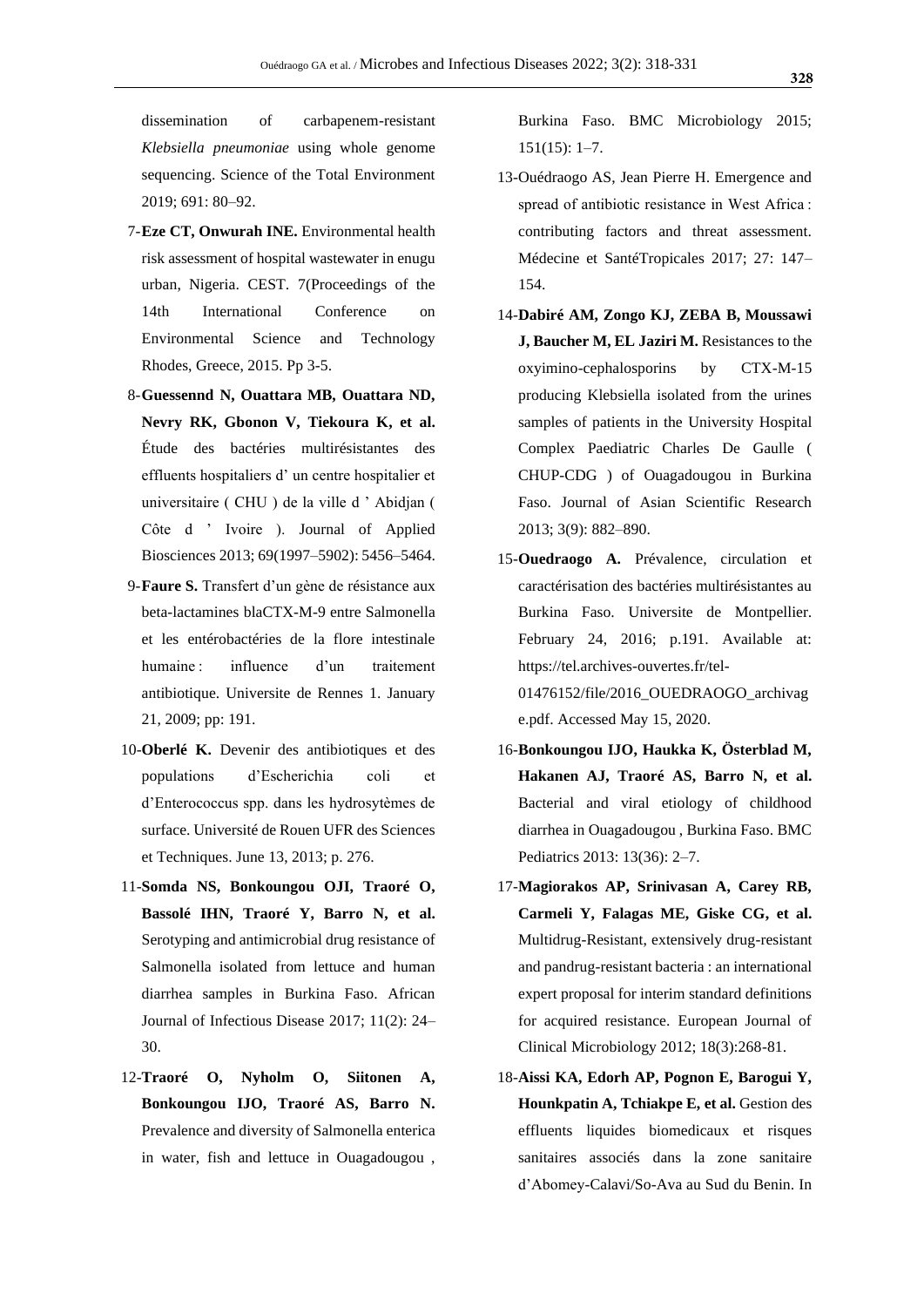dissemination of carbapenem-resistant *Klebsiella pneumoniae* using whole genome sequencing. Science of the Total Environment 2019; 691: 80–92.

- 7-**Eze CT, Onwurah INE.** Environmental health risk assessment of hospital wastewater in enugu urban, Nigeria. CEST. 7(Proceedings of the 14th International Conference on Environmental Science and Technology Rhodes, Greece, 2015. Pp 3-5.
- 8-**Guessennd N, Ouattara MB, Ouattara ND, Nevry RK, Gbonon V, Tiekoura K, et al.** Étude des bactéries multirésistantes des effluents hospitaliers d' un centre hospitalier et universitaire ( CHU ) de la ville d ' Abidjan ( Côte d ' Ivoire ). Journal of Applied Biosciences 2013; 69(1997–5902): 5456–5464.
- 9-**Faure S.** Transfert d'un gène de résistance aux beta-lactamines blaCTX-M-9 entre Salmonella et les entérobactéries de la flore intestinale humaine : influence d'un traitement antibiotique. Universite de Rennes 1. January 21, 2009; pp: 191.
- 10-**Oberlé K.** Devenir des antibiotiques et des populations d'Escherichia coli et d'Enterococcus spp. dans les hydrosytèmes de surface. Université de Rouen UFR des Sciences et Techniques. June 13, 2013; p. 276.
- 11-**Somda NS, Bonkoungou OJI, Traoré O, Bassolé IHN, Traoré Y, Barro N, et al.** Serotyping and antimicrobial drug resistance of Salmonella isolated from lettuce and human diarrhea samples in Burkina Faso. African Journal of Infectious Disease 2017; 11(2): 24– 30.
- 12-**Traoré O, Nyholm O, Siitonen A, Bonkoungou IJO, Traoré AS, Barro N.** Prevalence and diversity of Salmonella enterica in water, fish and lettuce in Ouagadougou ,

Burkina Faso. BMC Microbiology 2015; 151(15): 1–7.

- 13-Ouédraogo AS, Jean Pierre H. Emergence and spread of antibiotic resistance in West Africa : contributing factors and threat assessment. Médecine et SantéTropicales 2017; 27: 147– 154.
- 14-**Dabiré AM, Zongo KJ, ZEBA B, Moussawi J, Baucher M, EL Jaziri M.** Resistances to the oxyimino-cephalosporins by CTX-M-15 producing Klebsiella isolated from the urines samples of patients in the University Hospital Complex Paediatric Charles De Gaulle ( CHUP-CDG ) of Ouagadougou in Burkina Faso. Journal of Asian Scientific Research 2013; 3(9): 882–890.
- 15-**Ouedraogo A.** Prévalence, circulation et caractérisation des bactéries multirésistantes au Burkina Faso. Universite de Montpellier. February 24, 2016; p.191. Available at: https://tel.archives-ouvertes.fr/tel-01476152/file/2016\_OUEDRAOGO\_archivag e.pdf. Accessed May 15, 2020.
- 16-**Bonkoungou IJO, Haukka K, Österblad M, Hakanen AJ, Traoré AS, Barro N, et al.** Bacterial and viral etiology of childhood diarrhea in Ouagadougou , Burkina Faso. BMC Pediatrics 2013: 13(36): 2–7.
- 17-**Magiorakos AP, Srinivasan A, Carey RB, Carmeli Y, Falagas ME, Giske CG, et al.** Multidrug-Resistant, extensively drug-resistant and pandrug-resistant bacteria : an international expert proposal for interim standard definitions for acquired resistance. European Journal of Clinical Microbiology 2012; 18(3):268-81.
- 18-**Aissi KA, Edorh AP, Pognon E, Barogui Y, Hounkpatin A, Tchiakpe E, et al.** Gestion des effluents liquides biomedicaux et risques sanitaires associés dans la zone sanitaire d'Abomey-Calavi/So-Ava au Sud du Benin. In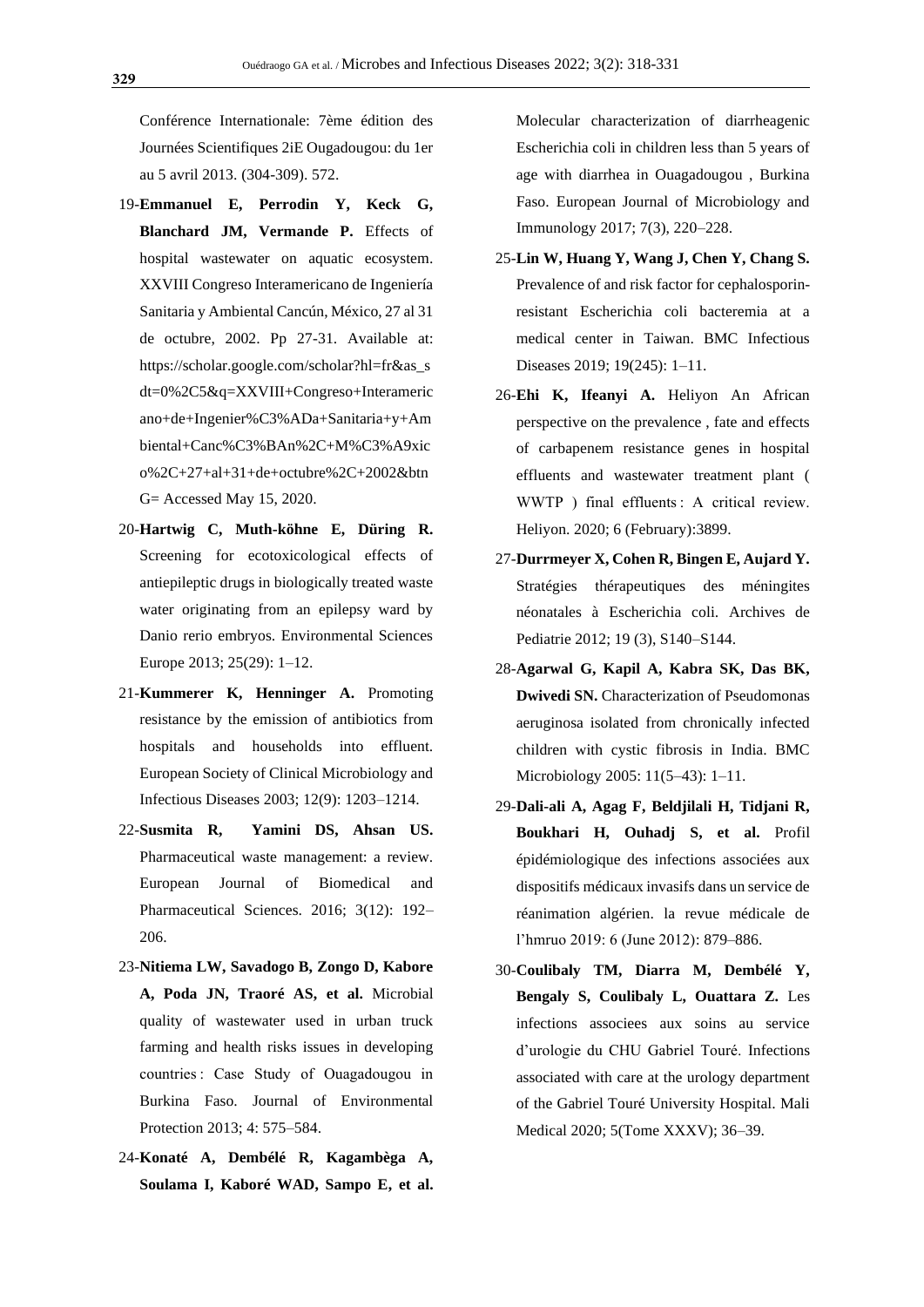Conférence Internationale: 7ème édition des Journées Scientifiques 2iE Ougadougou: du 1er au 5 avril 2013. (304-309). 572.

- 19-**Emmanuel E, Perrodin Y, Keck G, Blanchard JM, Vermande P.** Effects of hospital wastewater on aquatic ecosystem. XXVIII Congreso Interamericano de Ingeniería Sanitaria y Ambiental Cancún, México, 27 al 31 de octubre, 2002. Pp 27-31. Available at: https://scholar.google.com/scholar?hl=fr&as\_s dt=0%2C5&q=XXVIII+Congreso+Interameric ano+de+Ingenier%C3%ADa+Sanitaria+y+Am biental+Canc%C3%BAn%2C+M%C3%A9xic o%2C+27+al+31+de+octubre%2C+2002&btn G= Accessed May 15, 2020.
- 20-**Hartwig C, Muth-köhne E, Düring R.**  Screening for ecotoxicological effects of antiepileptic drugs in biologically treated waste water originating from an epilepsy ward by Danio rerio embryos. Environmental Sciences Europe 2013; 25(29): 1–12.
- 21-**Kummerer K, Henninger A.** Promoting resistance by the emission of antibiotics from hospitals and households into effluent. European Society of Clinical Microbiology and Infectious Diseases 2003; 12(9): 1203–1214.
- 22-**Susmita R, Yamini DS, Ahsan US.** Pharmaceutical waste management: a review. European Journal of Biomedical and Pharmaceutical Sciences. 2016; 3(12): 192– 206.
- 23-**Nitiema LW, Savadogo B, Zongo D, Kabore A, Poda JN, Traoré AS, et al.** Microbial quality of wastewater used in urban truck farming and health risks issues in developing countries : Case Study of Ouagadougou in Burkina Faso. Journal of Environmental Protection 2013; 4: 575–584.
- 24-**Konaté A, Dembélé R, Kagambèga A, Soulama I, Kaboré WAD, Sampo E, et al.**

Molecular characterization of diarrheagenic Escherichia coli in children less than 5 years of age with diarrhea in Ouagadougou , Burkina Faso. European Journal of Microbiology and Immunology 2017; 7(3), 220–228.

- 25-**Lin W, Huang Y, Wang J, Chen Y, Chang S.** Prevalence of and risk factor for cephalosporinresistant Escherichia coli bacteremia at a medical center in Taiwan. BMC Infectious Diseases 2019; 19(245): 1–11.
- 26-**Ehi K, Ifeanyi A.** Heliyon An African perspective on the prevalence , fate and effects of carbapenem resistance genes in hospital effluents and wastewater treatment plant ( WWTP ) final effluents : A critical review. Heliyon. 2020; 6 (February):3899.
- 27-**Durrmeyer X, Cohen R, Bingen E, Aujard Y.** Stratégies thérapeutiques des méningites néonatales à Escherichia coli. Archives de Pediatrie 2012; 19 (3), S140–S144.
- 28-**Agarwal G, Kapil A, Kabra SK, Das BK, Dwivedi SN.** Characterization of Pseudomonas aeruginosa isolated from chronically infected children with cystic fibrosis in India. BMC Microbiology 2005: 11(5–43): 1–11.
- 29-**Dali-ali A, Agag F, Beldjilali H, Tidjani R, Boukhari H, Ouhadj S, et al.** Profil épidémiologique des infections associées aux dispositifs médicaux invasifs dans un service de réanimation algérien. la revue médicale de l'hmruo 2019: 6 (June 2012): 879–886.
- 30-**Coulibaly TM, Diarra M, Dembélé Y, Bengaly S, Coulibaly L, Ouattara Z.** Les infections associees aux soins au service d'urologie du CHU Gabriel Touré. Infections associated with care at the urology department of the Gabriel Touré University Hospital. Mali Medical 2020; 5(Tome XXXV); 36–39.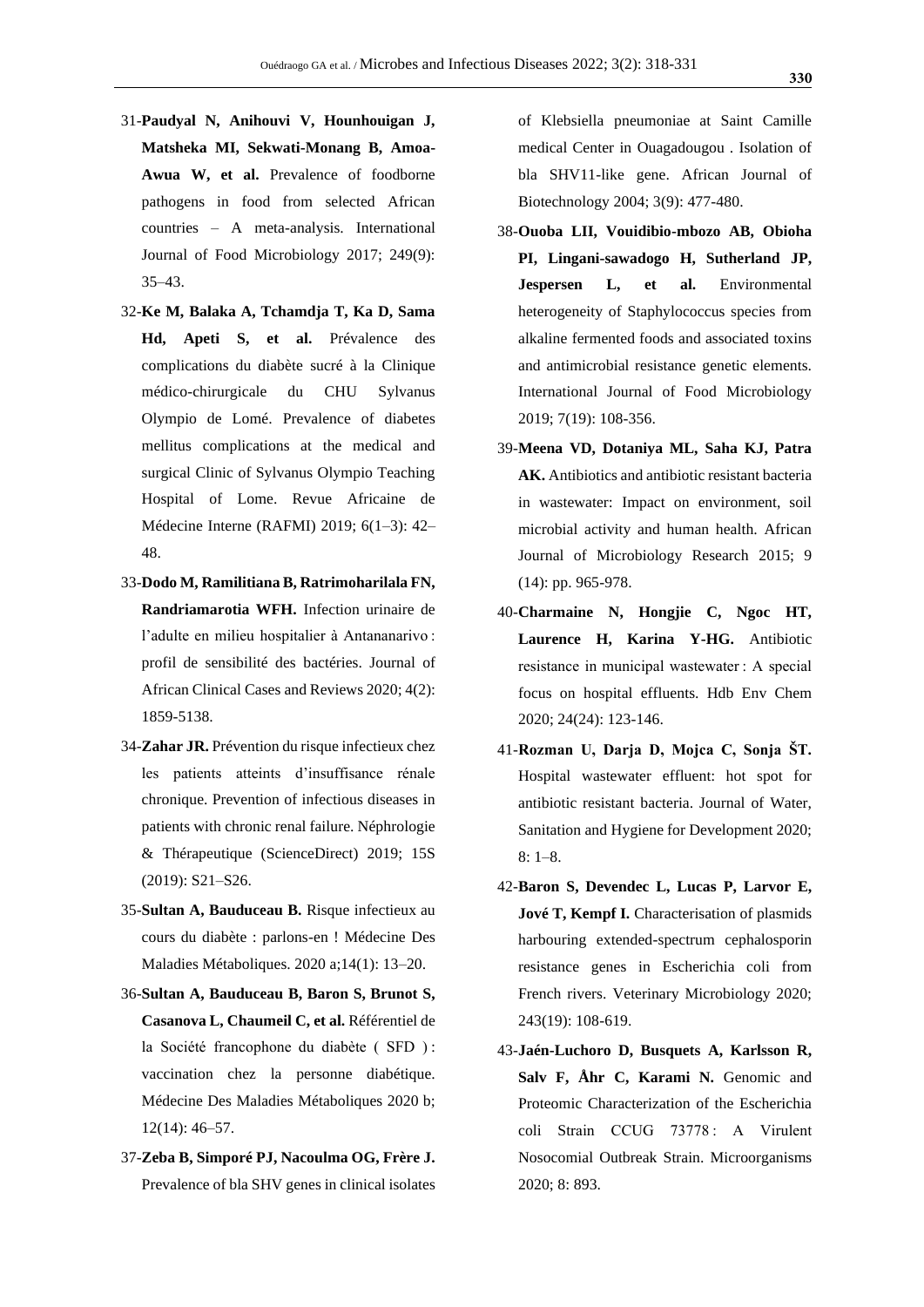- 31-**Paudyal N, Anihouvi V, Hounhouigan J, Matsheka MI, Sekwati-Monang B, Amoa-Awua W, et al.** Prevalence of foodborne pathogens in food from selected African countries – A meta-analysis. International Journal of Food Microbiology 2017; 249(9): 35–43.
- 32-**Ke M, Balaka A, Tchamdja T, Ka D, Sama Hd, Apeti S, et al.** Prévalence des complications du diabète sucré à la Clinique médico-chirurgicale du CHU Sylvanus Olympio de Lomé. Prevalence of diabetes mellitus complications at the medical and surgical Clinic of Sylvanus Olympio Teaching Hospital of Lome. Revue Africaine de Médecine Interne (RAFMI) 2019; 6(1–3): 42– 48.
- 33-**Dodo M, Ramilitiana B, Ratrimoharilala FN, Randriamarotia WFH.** Infection urinaire de l'adulte en milieu hospitalier à Antananarivo : profil de sensibilité des bactéries. Journal of African Clinical Cases and Reviews 2020; 4(2): 1859-5138.
- 34-**Zahar JR.** Prévention du risque infectieux chez les patients atteints d'insuffisance rénale chronique. Prevention of infectious diseases in patients with chronic renal failure. Néphrologie & Thérapeutique (ScienceDirect) 2019; 15S (2019): S21–S26.
- 35-**Sultan A, Bauduceau B.** Risque infectieux au cours du diabète : parlons-en ! Médecine Des Maladies Métaboliques. 2020 a;14(1): 13–20.
- 36-**Sultan A, Bauduceau B, Baron S, Brunot S, Casanova L, Chaumeil C, et al.** Référentiel de la Société francophone du diabète ( SFD ) : vaccination chez la personne diabétique. Médecine Des Maladies Métaboliques 2020 b; 12(14): 46–57.
- 37-**Zeba B, Simporé PJ, Nacoulma OG, Frère J.** Prevalence of bla SHV genes in clinical isolates

of Klebsiella pneumoniae at Saint Camille medical Center in Ouagadougou . Isolation of bla SHV11-like gene. African Journal of Biotechnology 2004; 3(9): 477-480.

- 38-**Ouoba LII, Vouidibio-mbozo AB, Obioha PI, Lingani-sawadogo H, Sutherland JP, Jespersen L, et al.** Environmental heterogeneity of Staphylococcus species from alkaline fermented foods and associated toxins and antimicrobial resistance genetic elements. International Journal of Food Microbiology 2019; 7(19): 108-356.
- 39-**Meena VD, Dotaniya ML, Saha KJ, Patra AK.** Antibiotics and antibiotic resistant bacteria in wastewater: Impact on environment, soil microbial activity and human health. African Journal of Microbiology Research 2015; 9 (14): pp. 965-978.
- 40-**Charmaine N, Hongjie C, Ngoc HT, Laurence H, Karina Y-HG.** Antibiotic resistance in municipal wastewater : A special focus on hospital effluents. Hdb Env Chem 2020; 24(24): 123-146.
- 41-**Rozman U, Darja D, Mojca C, Sonja ŠT.** Hospital wastewater effluent: hot spot for antibiotic resistant bacteria. Journal of Water, Sanitation and Hygiene for Development 2020; 8: 1–8.
- 42-**Baron S, Devendec L, Lucas P, Larvor E, Jové T, Kempf I.** Characterisation of plasmids harbouring extended-spectrum cephalosporin resistance genes in Escherichia coli from French rivers. Veterinary Microbiology 2020; 243(19): 108-619.
- 43-**Jaén-Luchoro D, Busquets A, Karlsson R, Salv F, Åhr C, Karami N.** Genomic and Proteomic Characterization of the Escherichia coli Strain CCUG 73778 : A Virulent Nosocomial Outbreak Strain. Microorganisms 2020; 8: 893.